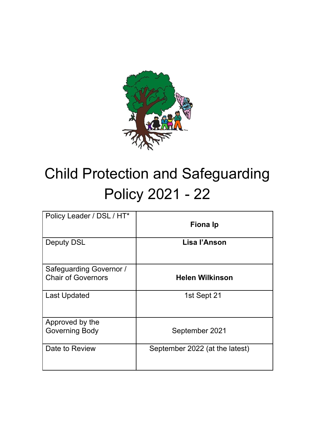

# Child Protection and Safeguarding Policy 2021 - 22

| Policy Leader / DSL / HT*                            | <b>Fiona Ip</b>                |
|------------------------------------------------------|--------------------------------|
| <b>Deputy DSL</b>                                    | Lisa l'Anson                   |
| Safeguarding Governor /<br><b>Chair of Governors</b> | <b>Helen Wilkinson</b>         |
| <b>Last Updated</b>                                  | 1st Sept 21                    |
| Approved by the<br><b>Governing Body</b>             | September 2021                 |
| Date to Review                                       | September 2022 (at the latest) |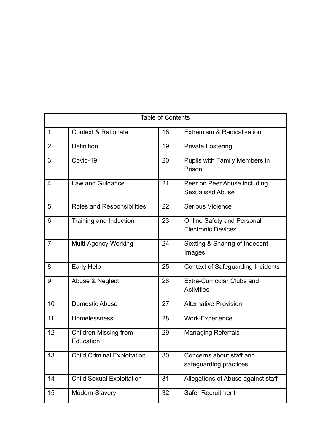| <b>Table of Contents</b> |                                           |    |                                                                |  |
|--------------------------|-------------------------------------------|----|----------------------------------------------------------------|--|
| $\mathbf{1}$             | <b>Context &amp; Rationale</b>            | 18 | <b>Extremism &amp; Radicalisation</b>                          |  |
| $\overline{2}$           | <b>Definition</b>                         | 19 | <b>Private Fostering</b>                                       |  |
| 3                        | Covid-19                                  | 20 | <b>Pupils with Family Members in</b><br>Prison                 |  |
| $\overline{4}$           | Law and Guidance                          | 21 | Peer on Peer Abuse including<br><b>Sexualised Abuse</b>        |  |
| 5                        | Roles and Responsibilities                | 22 | <b>Serious Violence</b>                                        |  |
| 6                        | Training and Induction                    | 23 | <b>Online Safety and Personal</b><br><b>Electronic Devices</b> |  |
| $\overline{7}$           | <b>Multi-Agency Working</b>               | 24 | Sexting & Sharing of Indecent<br>Images                        |  |
| 8                        | <b>Early Help</b>                         | 25 | <b>Context of Safeguarding Incidents</b>                       |  |
| 9                        | Abuse & Neglect                           | 26 | <b>Extra-Curricular Clubs and</b><br><b>Activities</b>         |  |
| 10                       | <b>Domestic Abuse</b>                     | 27 | <b>Alternative Provision</b>                                   |  |
| 11                       | Homelessness                              | 28 | <b>Work Experience</b>                                         |  |
| 12                       | <b>Children Missing from</b><br>Education | 29 | <b>Managing Referrals</b>                                      |  |
| 13                       | <b>Child Criminal Exploitation</b>        | 30 | Concerns about staff and<br>safeguarding practices             |  |
| 14                       | <b>Child Sexual Exploitation</b>          | 31 | Allegations of Abuse against staff                             |  |
| 15                       | Modern Slavery                            | 32 | <b>Safer Recruitment</b>                                       |  |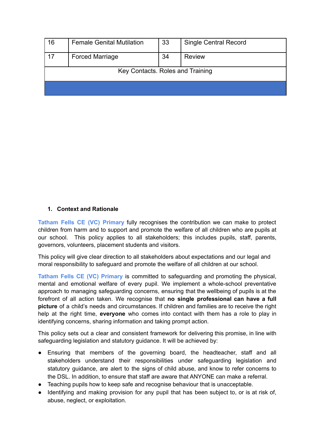| 16                               | <b>Female Genital Mutilation</b> | 33 | <b>Single Central Record</b> |  |
|----------------------------------|----------------------------------|----|------------------------------|--|
| 17                               | <b>Forced Marriage</b>           | 34 | <b>Review</b>                |  |
| Key Contacts. Roles and Training |                                  |    |                              |  |
|                                  |                                  |    |                              |  |

#### **1. Context and Rationale**

**Tatham Fells CE (VC) Primary** fully recognises the contribution we can make to protect children from harm and to support and promote the welfare of all children who are pupils at our school. This policy applies to all stakeholders; this includes pupils, staff, parents, governors, volunteers, placement students and visitors.

This policy will give clear direction to all stakeholders about expectations and our legal and moral responsibility to safeguard and promote the welfare of all children at our school.

**Tatham Fells CE (VC) Primary** is committed to safeguarding and promoting the physical, mental and emotional welfare of every pupil. We implement a whole-school preventative approach to managing safeguarding concerns, ensuring that the wellbeing of pupils is at the forefront of all action taken. We recognise that **no single professional can have a full picture** of a child's needs and circumstances. If children and families are to receive the right help at the right time, **everyone** who comes into contact with them has a role to play in identifying concerns, sharing information and taking prompt action.

This policy sets out a clear and consistent framework for delivering this promise, in line with safeguarding legislation and statutory guidance. It will be achieved by:

- Ensuring that members of the governing board, the headteacher, staff and all stakeholders understand their responsibilities under safeguarding legislation and statutory guidance, are alert to the signs of child abuse, and know to refer concerns to the DSL. In addition, to ensure that staff are aware that ANYONE can make a referral.
- Teaching pupils how to keep safe and recognise behaviour that is unacceptable.
- Identifying and making provision for any pupil that has been subject to, or is at risk of, abuse, neglect, or exploitation.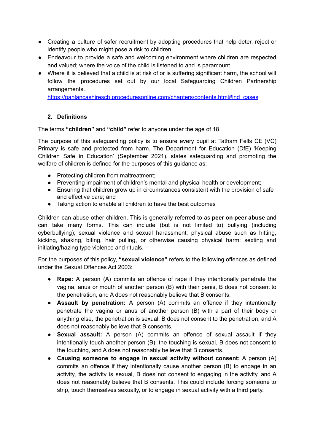- Creating a culture of safer recruitment by adopting procedures that help deter, reject or identify people who might pose a risk to children
- Endeavour to provide a safe and welcoming environment where children are respected and valued; where the voice of the child is listened to and is paramount
- Where it is believed that a child is at risk of or is suffering significant harm, the school will follow the procedures set out by our local Safeguarding Children Partnership arrangements.

[https://panlancashirescb.proceduresonline.com/chapters/contents.html#ind\\_cases](https://panlancashirescb.proceduresonline.com/chapters/contents.html#ind_cases)

## **2. Definitions**

The terms **"children"** and **"child"** refer to anyone under the age of 18.

The purpose of this safeguarding policy is to ensure every pupil at Tatham Fells CE (VC) Primary is safe and protected from harm. The Department for Education (DfE) 'Keeping Children Safe in Education' (September 2021), states safeguarding and promoting the welfare of children is defined for the purposes of this guidance as:

- Protecting children from maltreatment;
- Preventing impairment of children's mental and physical health or development;
- Ensuring that children grow up in circumstances consistent with the provision of safe and effective care; and
- Taking action to enable all children to have the best outcomes

Children can abuse other children. This is generally referred to as **peer on peer abuse** and can take many forms. This can include (but is not limited to) bullying (including cyberbullying); sexual violence and sexual harassment; physical abuse such as hitting, kicking, shaking, biting, hair pulling, or otherwise causing physical harm; sexting and initiating/hazing type violence and rituals.

For the purposes of this policy, **"sexual violence"** refers to the following offences as defined under the Sexual Offences Act 2003:

- **Rape:** A person (A) commits an offence of rape if they intentionally penetrate the vagina, anus or mouth of another person (B) with their penis, B does not consent to the penetration, and A does not reasonably believe that B consents.
- **Assault by penetration:** A person (A) commits an offence if they intentionally penetrate the vagina or anus of another person (B) with a part of their body or anything else, the penetration is sexual, B does not consent to the penetration, and A does not reasonably believe that B consents.
- **Sexual assault:** A person (A) commits an offence of sexual assault if they intentionally touch another person (B), the touching is sexual, B does not consent to the touching, and A does not reasonably believe that B consents.
- **Causing someone to engage in sexual activity without consent:** A person (A) commits an offence if they intentionally cause another person (B) to engage in an activity, the activity is sexual, B does not consent to engaging in the activity, and A does not reasonably believe that B consents. This could include forcing someone to strip, touch themselves sexually, or to engage in sexual activity with a third party.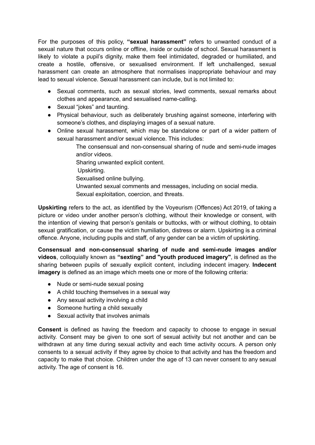For the purposes of this policy, **"sexual harassment"** refers to unwanted conduct of a sexual nature that occurs online or offline, inside or outside of school. Sexual harassment is likely to violate a pupil's dignity, make them feel intimidated, degraded or humiliated, and create a hostile, offensive, or sexualised environment. If left unchallenged, sexual harassment can create an atmosphere that normalises inappropriate behaviour and may lead to sexual violence. Sexual harassment can include, but is not limited to:

- Sexual comments, such as sexual stories, lewd comments, sexual remarks about clothes and appearance, and sexualised name-calling.
- Sexual "jokes" and taunting.
- Physical behaviour, such as deliberately brushing against someone, interfering with someone's clothes, and displaying images of a sexual nature.
- Online sexual harassment, which may be standalone or part of a wider pattern of sexual harassment and/or sexual violence. This includes:

The consensual and non-consensual sharing of nude and semi-nude images and/or videos.

- Sharing unwanted explicit content.
- Upskirting.
- Sexualised online bullying.
- Unwanted sexual comments and messages, including on social media.
- Sexual exploitation, coercion, and threats.

**Upskirting** refers to the act, as identified by the Voyeurism (Offences) Act 2019, of taking a picture or video under another person's clothing, without their knowledge or consent, with the intention of viewing that person's genitals or buttocks, with or without clothing, to obtain sexual gratification, or cause the victim humiliation, distress or alarm. Upskirting is a criminal offence. Anyone, including pupils and staff, of any gender can be a victim of upskirting.

**Consensual and non-consensual sharing of nude and semi-nude images and/or videos**, colloquially known as **"sexting" and "youth produced imagery"**, is defined as the sharing between pupils of sexually explicit content, including indecent imagery. **Indecent imagery** is defined as an image which meets one or more of the following criteria:

- Nude or semi-nude sexual posing
- A child touching themselves in a sexual way
- Any sexual activity involving a child
- Someone hurting a child sexually
- Sexual activity that involves animals

**Consent** is defined as having the freedom and capacity to choose to engage in sexual activity. Consent may be given to one sort of sexual activity but not another and can be withdrawn at any time during sexual activity and each time activity occurs. A person only consents to a sexual activity if they agree by choice to that activity and has the freedom and capacity to make that choice. Children under the age of 13 can never consent to any sexual activity. The age of consent is 16.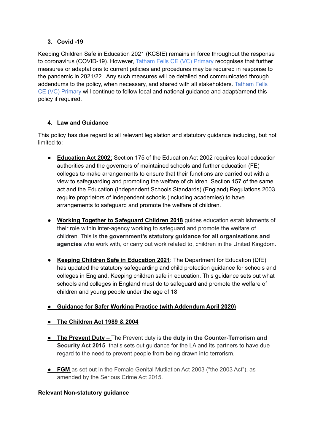# **3. Covid -19**

Keeping Children Safe in Education 2021 (KCSIE) remains in force throughout the response to coronavirus (COVID-19). However, Tatham Fells CE (VC) Primary recognises that further measures or adaptations to current policies and procedures may be required in response to the pandemic in 2021/22. Any such measures will be detailed and communicated through addendums to the policy, when necessary, and shared with all stakeholders. Tatham Fells CE (VC) Primary will continue to follow local and national guidance and adapt/amend this policy if required.

# **4. Law and Guidance**

This policy has due regard to all relevant legislation and statutory guidance including, but not limited to:

- **[Education](http://www.legislation.gov.uk/ukpga/2002/32/contents) Act 2002**: Section 175 of the Education Act 2002 requires local education authorities and the governors of maintained schools and further education (FE) colleges to make arrangements to ensure that their functions are carried out with a view to safeguarding and promoting the welfare of children. Section 157 of the same act and the Education (Independent Schools Standards) (England) Regulations 2003 require proprietors of independent schools (including academies) to have arrangements to safeguard and promote the welfare of children.
- **Working Together to [Safeguard](https://www.gov.uk/government/publications/working-together-to-safeguard-children--2) Children 2018** guides education establishments of their role within inter-agency working to safeguard and promote the welfare of children. This is **the government's statutory guidance for all organisations and agencies** who work with, or carry out work related to, children in the United Kingdom.
- **Keeping Children Safe in [Education](https://assets.publishing.service.gov.uk/government/uploads/system/uploads/attachment_data/file/892394/Keeping_children_safe_in_education_2020.pdf) 2021**: The Department for Education (DfE) has updated the statutory safeguarding and child protection guidance for schools and colleges in England, Keeping children safe in education. This guidance sets out what schools and colleges in England must do to safeguard and promote the welfare of children and young people under the age of 18.

# *●* **Guidance for Safer Working Practice (with [Addendum](https://www.saferrecruitmentconsortium.org/GSWP%20COVID%20addendum%20April%202020%20final-1.pdf) April 2020)**

- **● The [Children](http://www.legislation.gov.uk/ukpga/1989/41/contents) Act 1989 & 2004**
- **● The Prevent Duty –** The Prevent duty is **the duty in the Counter-Terrorism and Security Act 2015** that's sets out guidance for the LA and its partners to have due regard to the need to prevent people from being drawn into terrorism.
- **● FGM** as set out in the Female Genital Mutilation Act 2003 ("the 2003 Act"), as amended by the Serious Crime Act 2015.

# **Relevant Non-statutory guidance**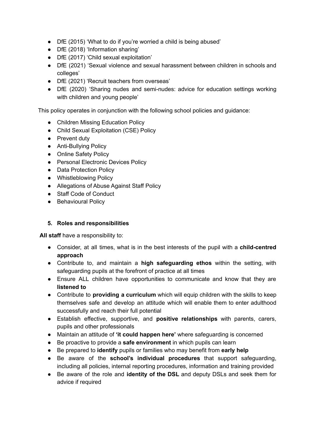- DfE (2015) 'What to do if you're worried a child is being abused'
- DfE (2018) 'Information sharing'
- DfE (2017) 'Child sexual exploitation'
- DfE (2021) 'Sexual violence and sexual harassment between children in schools and colleges'
- DfE (2021) 'Recruit teachers from overseas'
- DfE (2020) 'Sharing nudes and semi-nudes: advice for education settings working with children and young people'

This policy operates in conjunction with the following school policies and guidance:

- Children Missing Education Policy
- Child Sexual Exploitation (CSE) Policy
- Prevent duty
- Anti-Bullying Policy
- Online Safety Policy
- Personal Electronic Devices Policy
- Data Protection Policy
- Whistleblowing Policy
- Allegations of Abuse Against Staff Policy
- Staff Code of Conduct
- Behavioural Policy

## **5. Roles and responsibilities**

**All staff** have a responsibility to:

- **●** Consider, at all times, what is in the best interests of the pupil with a **child-centred approach**
- Contribute to, and maintain a **high safeguarding ethos** within the setting, with safeguarding pupils at the forefront of practice at all times
- **●** Ensure ALL children have opportunities to communicate and know that they are **listened to**
- Contribute to **providing a curriculum** which will equip children with the skills to keep themselves safe and develop an attitude which will enable them to enter adulthood successfully and reach their full potential
- Establish effective, supportive, and **positive relationships** with parents, carers, pupils and other professionals
- Maintain an attitude of **'it could happen here'** where safeguarding is concerned
- Be proactive to provide a **safe environment** in which pupils can learn
- Be prepared to **identify** pupils or families who may benefit from **early help**
- Be aware of the **school's individual procedures** that support safeguarding, including all policies, internal reporting procedures, information and training provided
- Be aware of the role and **identity of the DSL** and deputy DSLs and seek them for advice if required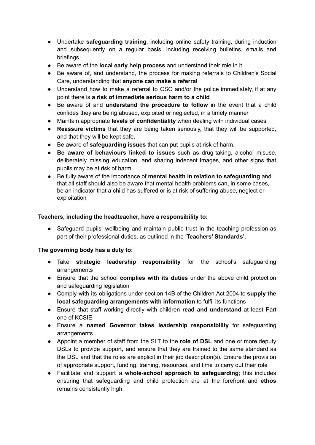- Undertake **safeguarding training**, including online safety training, during induction and subsequently on a regular basis, including receiving bulletins, emails and briefings
- Be aware of the **local early help process** and understand their role in it.
- Be aware of, and understand, the process for making referrals to Children's Social Care, understanding that **anyone can make a referral**
- **●** Understand how to make a referral to CSC and/or the police immediately, if at any point there is **a risk of immediate serious harm to a child**
- Be aware of and **understand the procedure to follow** in the event that a child confides they are being abused, exploited or neglected, in a timely manner
- Maintain appropriate **levels of confidentiality** when dealing with individual cases
- **Reassure victims** that they are being taken seriously, that they will be supported, and that they will be kept safe.
- Be aware of **safeguarding issues** that can put pupils at risk of harm.
- **Be aware of behaviours linked to issues** such as drug-taking, alcohol misuse, deliberately missing education, and sharing indecent images, and other signs that pupils may be at risk of harm
- Be fully aware of the importance of **mental health in relation to safeguarding** and that all staff should also be aware that mental health problems can, in some cases, be an indicator that a child has suffered or is at risk of suffering abuse, neglect or exploitation

## **Teachers, including the headteacher, have a responsibility to:**

• Safeguard pupils' wellbeing and maintain public trust in the teaching profession as part of their professional duties, as outlined in the '**Teachers' Standards'**.

#### **The governing body has a duty to:**

- Take **strategic leadership responsibility** for the school's safeguarding arrangements
- Ensure that the school **complies with its duties** under the above child protection and safeguarding legislation
- Comply with its obligations under section 14B of the Children Act 2004 to **supply the local safeguarding arrangements with information** to fulfil its functions
- Ensure that staff working directly with children **read and understand** at least Part one of KCSIE
- Ensure a **named Governor takes leadership responsibility** for safeguarding arrangements
- Appoint a member of staff from the SLT to the **role of DSL** and one or more deputy DSLs to provide support, and ensure that they are trained to the same standard as the DSL and that the roles are explicit in their job description(s). Ensure the provision of appropriate support, funding, training, resources, and time to carry out their role
- Facilitate and support a **whole-school approach to safeguarding**; this includes ensuring that safeguarding and child protection are at the forefront and **ethos** remains consistently high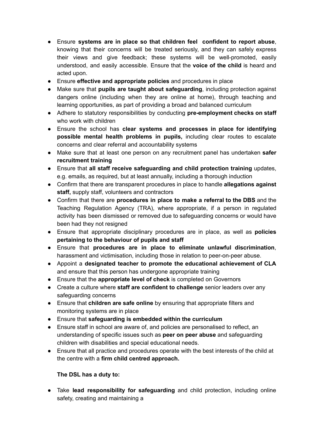- Ensure **systems are in place so that children feel confident to report abuse**, knowing that their concerns will be treated seriously, and they can safely express their views and give feedback; these systems will be well-promoted, easily understood, and easily accessible. Ensure that the **voice of the child** is heard and acted upon.
- Ensure **effective and appropriate policies** and procedures in place
- Make sure that **pupils are taught about safeguarding**, including protection against dangers online (including when they are online at home), through teaching and learning opportunities, as part of providing a broad and balanced curriculum
- Adhere to statutory responsibilities by conducting **pre-employment checks on staff** who work with children
- Ensure the school has **clear systems and processes in place for identifying possible mental health problems in pupils,** including clear routes to escalate concerns and clear referral and accountability systems
- Make sure that at least one person on any recruitment panel has undertaken **safer recruitment training**
- Ensure that **all staff receive safeguarding and child protection training** updates, e.g. emails, as required, but at least annually, including a thorough induction
- Confirm that there are transparent procedures in place to handle **allegations against staff,** supply staff, volunteers and contractors
- Confirm that there are **procedures in place to make a referral to the DBS** and the Teaching Regulation Agency (TRA), where appropriate, if a person in regulated activity has been dismissed or removed due to safeguarding concerns or would have been had they not resigned
- **●** Ensure that appropriate disciplinary procedures are in place, as well as **policies pertaining to the behaviour of pupils and staff**
- Ensure that **procedures are in place to eliminate unlawful discrimination**, harassment and victimisation, including those in relation to peer-on-peer abuse.
- Appoint a **designated teacher to promote the educational achievement of CLA** and ensure that this person has undergone appropriate training
- Ensure that the **appropriate level of check** is completed on Governors
- Create a culture where **staff are confident to challenge** senior leaders over any safeguarding concerns
- Ensure that **children are safe online** by ensuring that appropriate filters and monitoring systems are in place
- Ensure that **safeguarding is embedded within the curriculum**
- Ensure staff in school are aware of, and policies are personalised to reflect, an understanding of specific issues such as **peer on peer abuse** and safeguarding children with disabilities and special educational needs.
- Ensure that all practice and procedures operate with the best interests of the child at the centre with a **firm child centred approach.**

## **The DSL has a duty to:**

● Take **lead responsibility for safeguarding** and child protection, including online safety, creating and maintaining a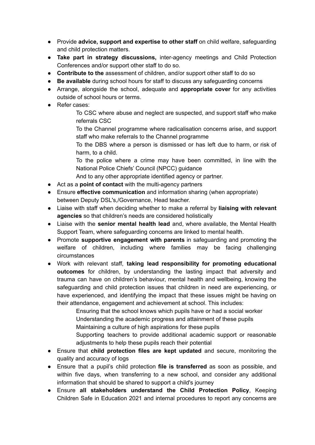- Provide **advice, support and expertise to other staff** on child welfare, safeguarding and child protection matters.
- **Take part in strategy discussions,** inter-agency meetings and Child Protection Conferences and/or support other staff to do so.
- **Contribute to the** assessment of children, and/or support other staff to do so
- **Be available** during school hours for staff to discuss any safeguarding concerns
- Arrange, alongside the school, adequate and **appropriate cover** for any activities outside of school hours or terms.
- Refer cases:

To CSC where abuse and neglect are suspected, and support staff who make referrals CSC

To the Channel programme where radicalisation concerns arise, and support staff who make referrals to the Channel programme

To the DBS where a person is dismissed or has left due to harm, or risk of harm, to a child.

To the police where a crime may have been committed, in line with the National Police Chiefs' Council (NPCC) guidance

And to any other appropriate identified agency or partner.

- Act as a **point of contact** with the multi-agency partners
- Ensure **effective communication** and information sharing (when appropriate) between Deputy DSL's,/Governance, Head teacher.
- Liaise with staff when deciding whether to make a referral by **liaising with relevant agencies** so that children's needs are considered holistically
- Liaise with the **senior mental health lead** and, where available, the Mental Health Support Team, where safeguarding concerns are linked to mental health.
- Promote **supportive engagement with parents** in safeguarding and promoting the welfare of children, including where families may be facing challenging circumstances
- Work with relevant staff, **taking lead responsibility for promoting educational outcomes** for children, by understanding the lasting impact that adversity and trauma can have on children's behaviour, mental health and wellbeing, knowing the safeguarding and child protection issues that children in need are experiencing, or have experienced, and identifying the impact that these issues might be having on their attendance, engagement and achievement at school. This includes:

Ensuring that the school knows which pupils have or had a social worker Understanding the academic progress and attainment of these pupils Maintaining a culture of high aspirations for these pupils Supporting teachers to provide additional academic support or reasonable adjustments to help these pupils reach their potential

- Ensure that **child protection files are kept updated** and secure, monitoring the quality and accuracy of logs
- Ensure that a pupil's child protection **file is transferred** as soon as possible, and within five days, when transferring to a new school, and consider any additional information that should be shared to support a child's journey
- Ensure **all stakeholders understand the Child Protection Policy**, Keeping Children Safe in Education 2021 and internal procedures to report any concerns are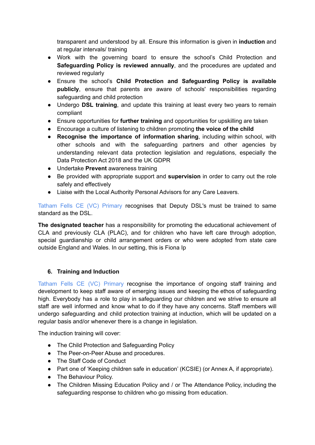transparent and understood by all. Ensure this information is given in **induction** and at regular intervals/ training

- Work with the governing board to ensure the school's Child Protection and **Safeguarding Policy is reviewed annually**, and the procedures are updated and reviewed regularly
- Ensure the school's **Child Protection and Safeguarding Policy is available publicly**, ensure that parents are aware of schools' responsibilities regarding safeguarding and child protection
- Undergo **DSL training**, and update this training at least every two years to remain compliant
- Ensure opportunities for **further training** and opportunities for upskilling are taken
- Encourage a culture of listening to children promoting **the voice of the child**
- **Recognise the importance of information sharing**, including within school, with other schools and with the safeguarding partners and other agencies by understanding relevant data protection legislation and regulations, especially the Data Protection Act 2018 and the UK GDPR
- Undertake **Prevent** awareness training
- Be provided with appropriate support and **supervision** in order to carry out the role safely and effectively
- Liaise with the Local Authority Personal Advisors for any Care Leavers.

Tatham Fells CE (VC) Primary recognises that Deputy DSL's must be trained to same standard as the DSL.

**The designated teacher** has a responsibility for promoting the educational achievement of CLA and previously CLA (PLAC), and for children who have left care through adoption, special guardianship or child arrangement orders or who were adopted from state care outside England and Wales. In our setting, this is Fiona Ip

## **6. Training and Induction**

Tatham Fells CE (VC) Primary recognise the importance of ongoing staff training and development to keep staff aware of emerging issues and keeping the ethos of safeguarding high. Everybody has a role to play in safeguarding our children and we strive to ensure all staff are well informed and know what to do if they have any concerns. Staff members will undergo safeguarding and child protection training at induction, which will be updated on a regular basis and/or whenever there is a change in legislation.

The induction training will cover:

- The Child Protection and Safeguarding Policy
- The Peer-on-Peer Abuse and procedures.
- The Staff Code of Conduct
- Part one of 'Keeping children safe in education' (KCSIE) (or Annex A, if appropriate).
- The Behaviour Policy.
- The Children Missing Education Policy and / or The Attendance Policy, including the safeguarding response to children who go missing from education.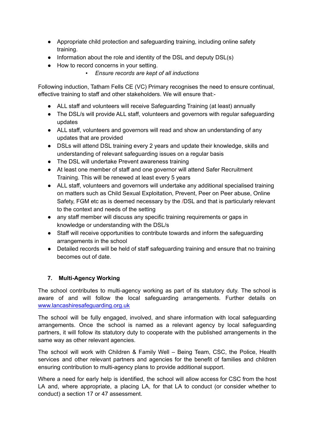- Appropriate child protection and safeguarding training, including online safety training.
- Information about the role and identity of the DSL and deputy DSL(s)
- How to record concerns in your setting.
	- *▪ Ensure records are kept of all inductions*

Following induction, Tatham Fells CE (VC) Primary recognises the need to ensure continual, effective training to staff and other stakeholders. We will ensure that:-

- ALL staff and volunteers will receive Safeguarding Training (at least) annually
- The DSL/s will provide ALL staff, volunteers and governors with regular safeguarding updates
- ALL staff, volunteers and governors will read and show an understanding of any updates that are provided
- DSLs will attend DSL training every 2 years and update their knowledge, skills and understanding of relevant safeguarding issues on a regular basis
- The DSL will undertake Prevent awareness training
- At least one member of staff and one governor will attend Safer Recruitment Training. This will be renewed at least every 5 years
- ALL staff, volunteers and governors will undertake any additional specialised training on matters such as Child Sexual Exploitation, Prevent, Peer on Peer abuse, Online Safety, FGM etc as is deemed necessary by the /DSL and that is particularly relevant to the context and needs of the setting
- any staff member will discuss any specific training requirements or gaps in knowledge or understanding with the DSL/s
- Staff will receive opportunities to contribute towards and inform the safeguarding arrangements in the school
- Detailed records will be held of staff safeguarding training and ensure that no training becomes out of date.

## **7. Multi-Agency Working**

The school contributes to multi-agency working as part of its statutory duty. The school is aware of and will follow the local safeguarding arrangements. Further details on [www.lancashiresafeguarding.org.uk](http://www.lancashiresafeguarding.org.uk)

The school will be fully engaged, involved, and share information with local safeguarding arrangements. Once the school is named as a relevant agency by local safeguarding partners, it will follow its statutory duty to cooperate with the published arrangements in the same way as other relevant agencies.

The school will work with Children & Family Well – Being Team, CSC, the Police, Health services and other relevant partners and agencies for the benefit of families and children ensuring contribution to multi-agency plans to provide additional support.

Where a need for early help is identified, the school will allow access for CSC from the host LA and, where appropriate, a placing LA, for that LA to conduct (or consider whether to conduct) a section 17 or 47 assessment.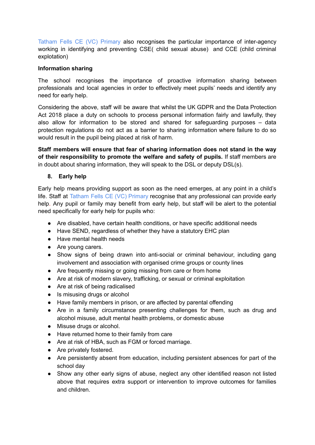Tatham Fells CE (VC) Primary also recognises the particular importance of inter-agency working in identifying and preventing CSE( child sexual abuse) and CCE (child criminal explotation)

#### **Information sharing**

The school recognises the importance of proactive information sharing between professionals and local agencies in order to effectively meet pupils' needs and identify any need for early help.

Considering the above, staff will be aware that whilst the UK GDPR and the Data Protection Act 2018 place a duty on schools to process personal information fairly and lawfully, they also allow for information to be stored and shared for safeguarding purposes – data protection regulations do not act as a barrier to sharing information where failure to do so would result in the pupil being placed at risk of harm.

**Staff members will ensure that fear of sharing information does not stand in the way of their responsibility to promote the welfare and safety of pupils.** If staff members are in doubt about sharing information, they will speak to the DSL or deputy DSL(s).

#### **8. Early help**

Early help means providing support as soon as the need emerges, at any point in a child's life. Staff at Tatham Fells CE (VC) Primary recognise that any professional can provide early help. Any pupil or family may benefit from early help, but staff will be alert to the potential need specifically for early help for pupils who:

- Are disabled, have certain health conditions, or have specific additional needs
- Have SEND, regardless of whether they have a statutory EHC plan
- Have mental health needs
- Are young carers.
- Show signs of being drawn into anti-social or criminal behaviour, including gang involvement and association with organised crime groups or county lines
- Are frequently missing or going missing from care or from home
- Are at risk of modern slavery, trafficking, or sexual or criminal exploitation
- Are at risk of being radicalised
- Is misusing drugs or alcohol
- Have family members in prison, or are affected by parental offending
- Are in a family circumstance presenting challenges for them, such as drug and alcohol misuse, adult mental health problems, or domestic abuse
- Misuse drugs or alcohol.
- Have returned home to their family from care
- Are at risk of HBA, such as FGM or forced marriage.
- Are privately fostered.
- Are persistently absent from education, including persistent absences for part of the school day
- Show any other early signs of abuse, neglect any other identified reason not listed above that requires extra support or intervention to improve outcomes for families and children.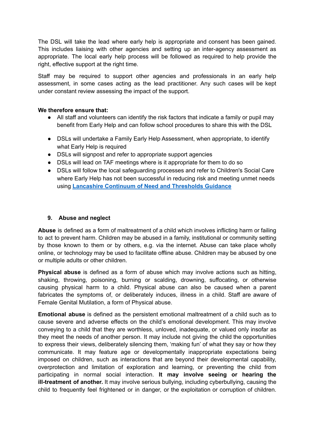The DSL will take the lead where early help is appropriate and consent has been gained. This includes liaising with other agencies and setting up an inter-agency assessment as appropriate. The local early help process will be followed as required to help provide the right, effective support at the right time.

Staff may be required to support other agencies and professionals in an early help assessment, in some cases acting as the lead practitioner. Any such cases will be kept under constant review assessing the impact of the support.

#### **We therefore ensure that:**

- **●** All staff and volunteers can identify the risk factors that indicate a family or pupil may benefit from Early Help and can follow school procedures to share this with the DSL
- **●** DSLs will undertake a Family Early Help Assessment, when appropriate, to identify what Early Help is required
- DSLs will signpost and refer to appropriate support agencies
- DSLs will lead on TAF meetings where is it appropriate for them to do so
- DSLs will follow the local safeguarding processes and refer to Children's Social Care where Early Help has not been successful in reducing risk and meeting unmet needs using **Lancashire Continuum of Need and [Thresholds](http://www.lancashiresafeguarding.org.uk/resources/assessment-and-referral.aspx) Guidance**

#### **9. Abuse and neglect**

**Abuse** is defined as a form of maltreatment of a child which involves inflicting harm or failing to act to prevent harm. Children may be abused in a family, institutional or community setting by those known to them or by others, e.g. via the internet. Abuse can take place wholly online, or technology may be used to facilitate offline abuse. Children may be abused by one or multiple adults or other children.

**Physical abuse** is defined as a form of abuse which may involve actions such as hitting, shaking, throwing, poisoning, burning or scalding, drowning, suffocating, or otherwise causing physical harm to a child. Physical abuse can also be caused when a parent fabricates the symptoms of, or deliberately induces, illness in a child. Staff are aware of Female Genital Mutilation, a form of Physical abuse.

**Emotional abuse** is defined as the persistent emotional maltreatment of a child such as to cause severe and adverse effects on the child's emotional development. This may involve conveying to a child that they are worthless, unloved, inadequate, or valued only insofar as they meet the needs of another person. It may include not giving the child the opportunities to express their views, deliberately silencing them, 'making fun' of what they say or how they communicate. It may feature age or developmentally inappropriate expectations being imposed on children, such as interactions that are beyond their developmental capability, overprotection and limitation of exploration and learning, or preventing the child from participating in normal social interaction. **It may involve seeing or hearing the ill-treatment of another.** It may involve serious bullying, including cyberbullying, causing the child to frequently feel frightened or in danger, or the exploitation or corruption of children.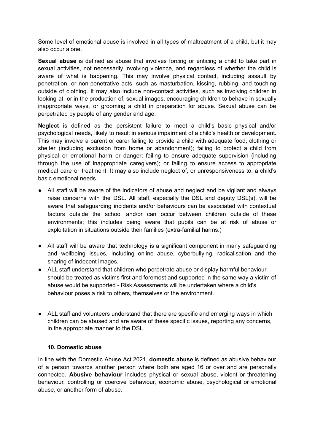Some level of emotional abuse is involved in all types of maltreatment of a child, but it may also occur alone.

**Sexual abuse** is defined as abuse that involves forcing or enticing a child to take part in sexual activities, not necessarily involving violence, and regardless of whether the child is aware of what is happening. This may involve physical contact, including assault by penetration, or non-penetrative acts, such as masturbation, kissing, rubbing, and touching outside of clothing. It may also include non-contact activities, such as involving children in looking at, or in the production of, sexual images, encouraging children to behave in sexually inappropriate ways, or grooming a child in preparation for abuse. Sexual abuse can be perpetrated by people of any gender and age.

**Neglect** is defined as the persistent failure to meet a child's basic physical and/or psychological needs, likely to result in serious impairment of a child's health or development. This may involve a parent or carer failing to provide a child with adequate food, clothing or shelter (including exclusion from home or abandonment); failing to protect a child from physical or emotional harm or danger; failing to ensure adequate supervision (including through the use of inappropriate caregivers); or failing to ensure access to appropriate medical care or treatment. It may also include neglect of, or unresponsiveness to, a child's basic emotional needs.

- All staff will be aware of the indicators of abuse and neglect and be vigilant and always raise concerns with the DSL. All staff, especially the DSL and deputy DSL(s), will be aware that safeguarding incidents and/or behaviours can be associated with contextual factors outside the school and/or can occur between children outside of these environments; this includes being aware that pupils can be at risk of abuse or exploitation in situations outside their families (extra-familial harms.)
- All staff will be aware that technology is a significant component in many safeguarding and wellbeing issues, including online abuse, cyberbullying, radicalisation and the sharing of indecent images.
- ALL staff understand that children who perpetrate abuse or display harmful behaviour should be treated as victims first and foremost and supported in the same way a victim of abuse would be supported - Risk Assessments will be undertaken where a child's behaviour poses a risk to others, themselves or the environment.
- ALL staff and volunteers understand that there are specific and emerging ways in which children can be abused and are aware of these specific issues, reporting any concerns, in the appropriate manner to the DSL.

#### **10. Domestic abuse**

In line with the Domestic Abuse Act 2021, **domestic abuse** is defined as abusive behaviour of a person towards another person where both are aged 16 or over and are personally connected. **Abusive behaviour** includes physical or sexual abuse, violent or threatening behaviour, controlling or coercive behaviour, economic abuse, psychological or emotional abuse, or another form of abuse.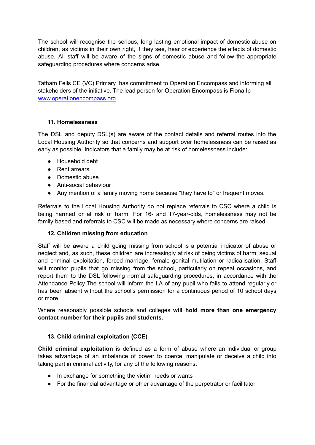The school will recognise the serious, long lasting emotional impact of domestic abuse on children, as victims in their own right, if they see, hear or experience the effects of domestic abuse. All staff will be aware of the signs of domestic abuse and follow the appropriate safeguarding procedures where concerns arise.

Tatham Fells CE (VC) Primary has commitment to Operation Encompass and informing all stakeholders of the initiative. The lead person for Operation Encompass is Fiona Ip [www.operationencompass.org](http://www.operationencompass.org)

#### **11. Homelessness**

The DSL and deputy DSL(s) are aware of the contact details and referral routes into the Local Housing Authority so that concerns and support over homelessness can be raised as early as possible. Indicators that a family may be at risk of homelessness include:

- Household debt
- Rent arrears
- Domestic abuse
- Anti-social behaviour
- Any mention of a family moving home because "they have to" or frequent moves.

Referrals to the Local Housing Authority do not replace referrals to CSC where a child is being harmed or at risk of harm. For 16- and 17-year-olds, homelessness may not be family-based and referrals to CSC will be made as necessary where concerns are raised.

## **12. Children missing from education**

Staff will be aware a child going missing from school is a potential indicator of abuse or neglect and, as such, these children are increasingly at risk of being victims of harm, sexual and criminal exploitation, forced marriage, female genital mutilation or radicalisation. Staff will monitor pupils that go missing from the school, particularly on repeat occasions, and report them to the DSL following normal safeguarding procedures, in accordance with the Attendance Policy.The school will inform the LA of any pupil who fails to attend regularly or has been absent without the school's permission for a continuous period of 10 school days or more.

Where reasonably possible schools and colleges **will hold more than one emergency contact number for their pupils and students.**

## **13. Child criminal exploitation (CCE)**

**Child criminal exploitation** is defined as a form of abuse where an individual or group takes advantage of an imbalance of power to coerce, manipulate or deceive a child into taking part in criminal activity, for any of the following reasons:

- In exchange for something the victim needs or wants
- For the financial advantage or other advantage of the perpetrator or facilitator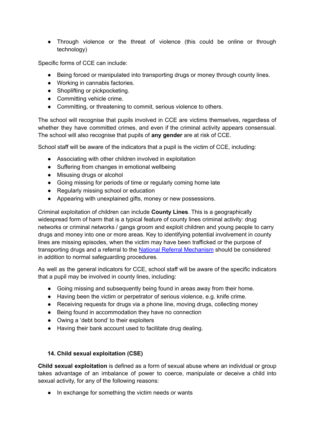● Through violence or the threat of violence (this could be online or through technology)

Specific forms of CCE can include:

- Being forced or manipulated into transporting drugs or money through county lines.
- Working in cannabis factories.
- Shoplifting or pickpocketing.
- Committing vehicle crime.
- Committing, or threatening to commit, serious violence to others.

The school will recognise that pupils involved in CCE are victims themselves, regardless of whether they have committed crimes, and even if the criminal activity appears consensual. The school will also recognise that pupils of **any gender** are at risk of CCE.

School staff will be aware of the indicators that a pupil is the victim of CCE, including:

- Associating with other children involved in exploitation
- Suffering from changes in emotional wellbeing
- Misusing drugs or alcohol
- Going missing for periods of time or regularly coming home late
- Regularly missing school or education
- Appearing with unexplained gifts, money or new possessions.

Criminal exploitation of children can include **County Lines**. This is a geographically widespread form of harm that is a typical feature of county lines criminal activity: drug networks or criminal networks / gangs groom and exploit children and young people to carry drugs and money into one or more areas. Key to identifying potential involvement in county lines are missing episodes, when the victim may have been trafficked or the purpose of transporting drugs and a referral to the National Referral [Mechanism](https://www.gov.uk/government/publications/human-trafficking-victims-referral-and-assessment-forms/guidance-on-the-national-referral-mechanism-for-potential-adult-victims-of-modern-slavery-england-and-wales#what-the-national-referral-mechanism-is) should be considered in addition to normal safeguarding procedures.

As well as the general indicators for CCE, school staff will be aware of the specific indicators that a pupil may be involved in county lines, including:

- Going missing and subsequently being found in areas away from their home.
- Having been the victim or perpetrator of serious violence, e.g. knife crime.
- Receiving requests for drugs via a phone line, moving drugs, collecting money
- Being found in accommodation they have no connection
- Owing a 'debt bond' to their exploiters
- Having their bank account used to facilitate drug dealing.

#### **14. Child sexual exploitation (CSE)**

**Child sexual exploitation** is defined as a form of sexual abuse where an individual or group takes advantage of an imbalance of power to coerce, manipulate or deceive a child into sexual activity, for any of the following reasons:

● In exchange for something the victim needs or wants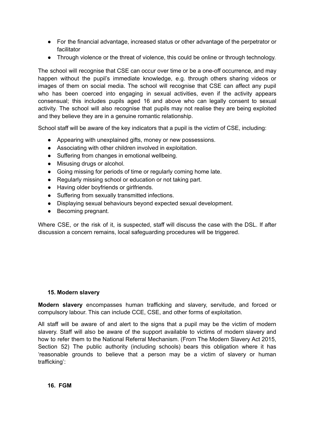- For the financial advantage, increased status or other advantage of the perpetrator or facilitator
- Through violence or the threat of violence, this could be online or through technology.

The school will recognise that CSE can occur over time or be a one-off occurrence, and may happen without the pupil's immediate knowledge, e.g. through others sharing videos or images of them on social media. The school will recognise that CSE can affect any pupil who has been coerced into engaging in sexual activities, even if the activity appears consensual; this includes pupils aged 16 and above who can legally consent to sexual activity. The school will also recognise that pupils may not realise they are being exploited and they believe they are in a genuine romantic relationship.

School staff will be aware of the key indicators that a pupil is the victim of CSE, including:

- Appearing with unexplained gifts, money or new possessions.
- Associating with other children involved in exploitation.
- Suffering from changes in emotional wellbeing.
- Misusing drugs or alcohol.
- Going missing for periods of time or regularly coming home late.
- Regularly missing school or education or not taking part.
- Having older boyfriends or girlfriends.
- Suffering from sexually transmitted infections.
- Displaying sexual behaviours beyond expected sexual development.
- Becoming pregnant.

Where CSE, or the risk of it, is suspected, staff will discuss the case with the DSL. If after discussion a concern remains, local safeguarding procedures will be triggered.

#### **15. Modern slavery**

**Modern slavery** encompasses human trafficking and slavery, servitude, and forced or compulsory labour. This can include CCE, CSE, and other forms of exploitation.

All staff will be aware of and alert to the signs that a pupil may be the victim of modern slavery. Staff will also be aware of the support available to victims of modern slavery and how to refer them to the National Referral Mechanism. (From The Modern Slavery Act 2015, Section 52) The public authority (including schools) bears this obligation where it has 'reasonable grounds to believe that a person may be a victim of slavery or human trafficking':

#### **16. FGM**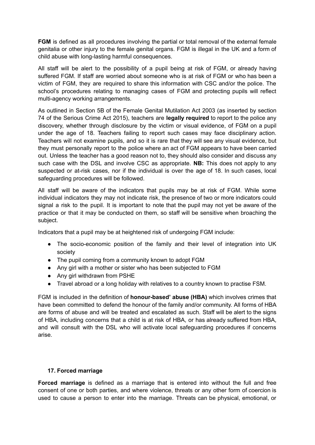**FGM** is defined as all procedures involving the partial or total removal of the external female genitalia or other injury to the female genital organs. FGM is illegal in the UK and a form of child abuse with long-lasting harmful consequences.

All staff will be alert to the possibility of a pupil being at risk of FGM, or already having suffered FGM. If staff are worried about someone who is at risk of FGM or who has been a victim of FGM, they are required to share this information with CSC and/or the police. The school's procedures relating to managing cases of FGM and protecting pupils will reflect multi-agency working arrangements.

As outlined in Section 5B of the Female Genital Mutilation Act 2003 (as inserted by section 74 of the Serious Crime Act 2015), teachers are **legally required** to report to the police any discovery, whether through disclosure by the victim or visual evidence, of FGM on a pupil under the age of 18. Teachers failing to report such cases may face disciplinary action. Teachers will not examine pupils, and so it is rare that they will see any visual evidence, but they must personally report to the police where an act of FGM appears to have been carried out. Unless the teacher has a good reason not to, they should also consider and discuss any such case with the DSL and involve CSC as appropriate. **NB:** This does not apply to any suspected or at-risk cases, nor if the individual is over the age of 18. In such cases, local safeguarding procedures will be followed.

All staff will be aware of the indicators that pupils may be at risk of FGM. While some individual indicators they may not indicate risk, the presence of two or more indicators could signal a risk to the pupil. It is important to note that the pupil may not yet be aware of the practice or that it may be conducted on them, so staff will be sensitive when broaching the subject.

Indicators that a pupil may be at heightened risk of undergoing FGM include:

- The socio-economic position of the family and their level of integration into UK society
- The pupil coming from a community known to adopt FGM
- Any girl with a mother or sister who has been subjected to FGM
- Any girl withdrawn from PSHE
- Travel abroad or a long holiday with relatives to a country known to practise FSM.

FGM is included in the definition of **honour-based' abuse (HBA)** which involves crimes that have been committed to defend the honour of the family and/or community. All forms of HBA are forms of abuse and will be treated and escalated as such. Staff will be alert to the signs of HBA, including concerns that a child is at risk of HBA, or has already suffered from HBA, and will consult with the DSL who will activate local safeguarding procedures if concerns arise.

## **17. Forced marriage**

**Forced marriage** is defined as a marriage that is entered into without the full and free consent of one or both parties, and where violence, threats or any other form of coercion is used to cause a person to enter into the marriage. Threats can be physical, emotional, or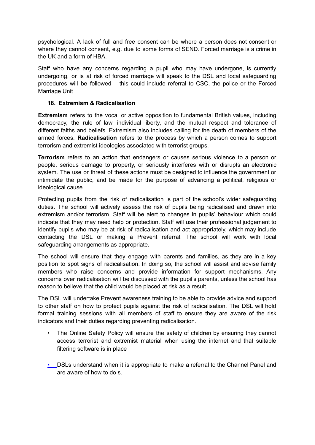psychological. A lack of full and free consent can be where a person does not consent or where they cannot consent, e.g. due to some forms of SEND. Forced marriage is a crime in the UK and a form of HBA

Staff who have any concerns regarding a pupil who may have undergone, is currently undergoing, or is at risk of forced marriage will speak to the DSL and local safeguarding procedures will be followed – this could include referral to CSC, the police or the Forced Marriage Unit

#### **18. Extremism & Radicalisation**

**Extremism** refers to the vocal or active opposition to fundamental British values, including democracy, the rule of law, individual liberty, and the mutual respect and tolerance of different faiths and beliefs. Extremism also includes calling for the death of members of the armed forces. **Radicalisation** refers to the process by which a person comes to support terrorism and extremist ideologies associated with terrorist groups.

**Terrorism** refers to an action that endangers or causes serious violence to a person or people, serious damage to property, or seriously interferes with or disrupts an electronic system. The use or threat of these actions must be designed to influence the government or intimidate the public, and be made for the purpose of advancing a political, religious or ideological cause.

Protecting pupils from the risk of radicalisation is part of the school's wider safeguarding duties. The school will actively assess the risk of pupils being radicalised and drawn into extremism and/or terrorism. Staff will be alert to changes in pupils' behaviour which could indicate that they may need help or protection. Staff will use their professional judgement to identify pupils who may be at risk of radicalisation and act appropriately, which may include contacting the DSL or making a Prevent referral. The school will work with local safeguarding arrangements as appropriate.

The school will ensure that they engage with parents and families, as they are in a key position to spot signs of radicalisation. In doing so, the school will assist and advise family members who raise concerns and provide information for support mechanisms. Any concerns over radicalisation will be discussed with the pupil's parents, unless the school has reason to believe that the child would be placed at risk as a result.

The DSL will undertake Prevent awareness training to be able to provide advice and support to other staff on how to protect pupils against the risk of radicalisation. The DSL will hold formal training sessions with all members of staff to ensure they are aware of the risk indicators and their duties regarding preventing radicalisation.

- The Online Safety Policy will ensure the safety of children by ensuring they cannot access terrorist and extremist material when using the internet and that suitable filtering software is in place
- DSLs understand when it is appropriate to make a referral to the Channel Panel and are aware of how to do s.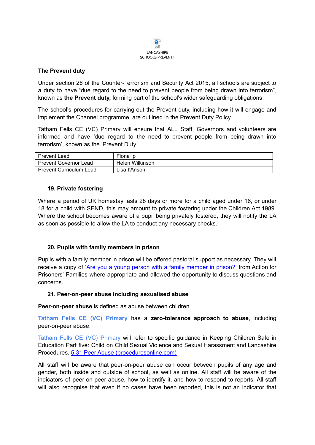

#### **The Prevent duty**

Under section 26 of the Counter-Terrorism and Security Act 2015, all schools are subject to a duty to have "due regard to the need to prevent people from being drawn into terrorism", known as **the Prevent duty,** forming part of the school's wider safeguarding obligations.

The school's procedures for carrying out the Prevent duty, including how it will engage and implement the Channel programme, are outlined in the Prevent Duty Policy.

Tatham Fells CE (VC) Primary will ensure that ALL Staff, Governors and volunteers are informed and have 'due regard to the need to prevent people from being drawn into terrorism', known as the 'Prevent Duty.'

| <b>Prevent Lead</b>            | Fiona Ip        |
|--------------------------------|-----------------|
| <b>Prevent Governor Lead</b>   | Helen Wilkinson |
| <b>Prevent Curriculum Lead</b> | Lisa l'Anson    |

#### **19. Private fostering**

Where a period of UK homestay lasts 28 days or more for a child aged under 16, or under 18 for a child with SEND, this may amount to private fostering under the Children Act 1989. Where the school becomes aware of a pupil being privately fostered, they will notify the LA as soon as possible to allow the LA to conduct any necessary checks.

#### **20. Pupils with family members in prison**

Pupils with a family member in prison will be offered pastoral support as necessary. They will receive a copy of 'Are you a young person with a family [member](https://www.nicco.org.uk/directory-of-resources) in prison?' from Action for Prisoners' Families where appropriate and allowed the opportunity to discuss questions and concerns.

#### **21. Peer-on-peer abuse including sexualised abuse**

**Peer-on-peer abuse** is defined as abuse between children.

**Tatham Fells CE (VC) Primary** has a **zero-tolerance approach to abuse**, including peer-on-peer abuse.

Tatham Fells CE (VC) Primary will refer to specific guidance in Keeping Children Safe in Education Part five: Child on Child Sexual Violence and Sexual Harassment and Lancashire Procedures. 5.31 Peer Abuse [\(proceduresonline.com\)](https://panlancashirescb.proceduresonline.com/chapters/p_peer_abuse.html)

All staff will be aware that peer-on-peer abuse can occur between pupils of any age and gender, both inside and outside of school, as well as online. All staff will be aware of the indicators of peer-on-peer abuse, how to identify it, and how to respond to reports. All staff will also recognise that even if no cases have been reported, this is not an indicator that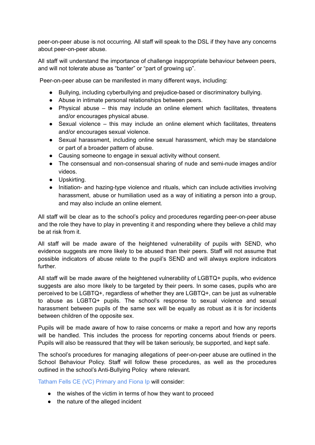peer-on-peer abuse is not occurring. All staff will speak to the DSL if they have any concerns about peer-on-peer abuse.

All staff will understand the importance of challenge inappropriate behaviour between peers, and will not tolerate abuse as "banter" or "part of growing up".

Peer-on-peer abuse can be manifested in many different ways, including:

- Bullying, including cyberbullying and prejudice-based or discriminatory bullying.
- Abuse in intimate personal relationships between peers.
- Physical abuse this may include an online element which facilitates, threatens and/or encourages physical abuse.
- Sexual violence this may include an online element which facilitates, threatens and/or encourages sexual violence.
- Sexual harassment, including online sexual harassment, which may be standalone or part of a broader pattern of abuse.
- Causing someone to engage in sexual activity without consent.
- The consensual and non-consensual sharing of nude and semi-nude images and/or videos.
- Upskirting.
- Initiation- and hazing-type violence and rituals, which can include activities involving harassment, abuse or humiliation used as a way of initiating a person into a group, and may also include an online element.

All staff will be clear as to the school's policy and procedures regarding peer-on-peer abuse and the role they have to play in preventing it and responding where they believe a child may be at risk from it.

All staff will be made aware of the heightened vulnerability of pupils with SEND, who evidence suggests are more likely to be abused than their peers. Staff will not assume that possible indicators of abuse relate to the pupil's SEND and will always explore indicators further.

All staff will be made aware of the heightened vulnerability of LGBTQ+ pupils, who evidence suggests are also more likely to be targeted by their peers. In some cases, pupils who are perceived to be LGBTQ+, regardless of whether they are LGBTQ+, can be just as vulnerable to abuse as LGBTQ+ pupils. The school's response to sexual violence and sexual harassment between pupils of the same sex will be equally as robust as it is for incidents between children of the opposite sex.

Pupils will be made aware of how to raise concerns or make a report and how any reports will be handled. This includes the process for reporting concerns about friends or peers. Pupils will also be reassured that they will be taken seriously, be supported, and kept safe.

The school's procedures for managing allegations of peer-on-peer abuse are outlined in the School Behaviour Policy. Staff will follow these procedures, as well as the procedures outlined in the school's Anti-Bullying Policy where relevant.

Tatham Fells CE (VC) Primary and Fiona Ip will consider:

- the wishes of the victim in terms of how they want to proceed
- the nature of the alleged incident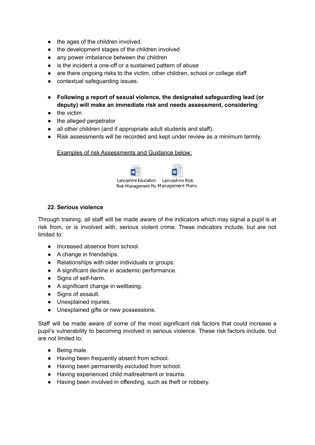- the ages of the children involved
- the development stages of the children involved
- any power imbalance between the children
- is the incident a one-off or a sustained pattern of abuse
- are there ongoing risks to the victim, other children, school or college staff
- contextual safequarding issues.
- **Following a report of sexual violence, the designated safeguarding lead (or deputy) will make an immediate risk and needs assessment, considering**:
- the victim
- the alleged perpetrator
- all other children (and if appropriate adult students and staff).

W

● Risk assessments will be recorded and kept under review as a minimum termly.

#### Examples of risk Assessments and Guidance below:

Lancashire Education Lancashire Risk Risk Management Pla Management Plans

#### **22. Serious violence**

Through training, all staff will be made aware of the indicators which may signal a pupil is at risk from, or is involved with, serious violent crime. These indicators include, but are not limited to:

- Increased absence from school.
- A change in friendships.
- Relationships with older individuals or groups.
- A significant decline in academic performance.
- Signs of self-harm.
- A significant change in wellbeing.
- Signs of assault.
- Unexplained injuries.
- Unexplained gifts or new possessions.

Staff will be made aware of some of the most significant risk factors that could increase a pupil's vulnerability to becoming involved in serious violence. These risk factors include, but are not limited to:

- Being male.
- Having been frequently absent from school.
- Having been permanently excluded from school.
- Having experienced child maltreatment or trauma.
- Having been involved in offending, such as theft or robbery.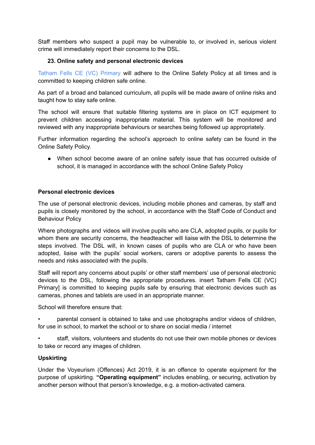Staff members who suspect a pupil may be vulnerable to, or involved in, serious violent crime will immediately report their concerns to the DSL.

#### **23. Online safety and personal electronic devices**

Tatham Fells CE (VC) Primary will adhere to the Online Safety Policy at all times and is committed to keeping children safe online.

As part of a broad and balanced curriculum, all pupils will be made aware of online risks and taught how to stay safe online.

The school will ensure that suitable filtering systems are in place on ICT equipment to prevent children accessing inappropriate material. This system will be monitored and reviewed with any inappropriate behaviours or searches being followed up appropriately.

Further information regarding the school's approach to online safety can be found in the Online Safety Policy.

When school become aware of an online safety issue that has occurred outside of school, it is managed in accordance with the school Online Safety Policy

#### **Personal electronic devices**

The use of personal electronic devices, including mobile phones and cameras, by staff and pupils is closely monitored by the school, in accordance with the Staff Code of Conduct and Behaviour Policy

Where photographs and videos will involve pupils who are CLA, adopted pupils, or pupils for whom there are security concerns, the headteacher will liaise with the DSL to determine the steps involved. The DSL will, in known cases of pupils who are CLA or who have been adopted, liaise with the pupils' social workers, carers or adoptive parents to assess the needs and risks associated with the pupils.

Staff will report any concerns about pupils' or other staff members' use of personal electronic devices to the DSL, following the appropriate procedures. insert Tatham Fells CE (VC) Primary] is committed to keeping pupils safe by ensuring that electronic devices such as cameras, phones and tablets are used in an appropriate manner.

School will therefore ensure that:

• parental consent is obtained to take and use photographs and/or videos of children, for use in school, to market the school or to share on social media / internet

• staff, visitors, volunteers and students do not use their own mobile phones or devices to take or record any images of children.

#### **Upskirting**

Under the Voyeurism (Offences) Act 2019, it is an offence to operate equipment for the purpose of upskirting. **"Operating equipment"** includes enabling, or securing, activation by another person without that person's knowledge, e.g. a motion-activated camera.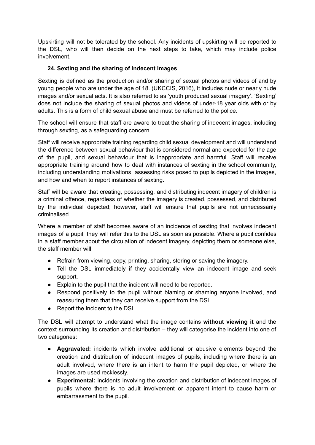Upskirting will not be tolerated by the school. Any incidents of upskirting will be reported to the DSL, who will then decide on the next steps to take, which may include police involvement.

# **24. Sexting and the sharing of indecent images**

Sexting is defined as the production and/or sharing of sexual photos and videos of and by young people who are under the age of 18. (UKCCIS, 2016), It includes nude or nearly nude images and/or sexual acts. It is also referred to as 'youth produced sexual imagery'. 'Sexting' does not include the sharing of sexual photos and videos of under-18 year olds with or by adults. This is a form of child sexual abuse and must be referred to the police.

The school will ensure that staff are aware to treat the sharing of indecent images, including through sexting, as a safeguarding concern.

Staff will receive appropriate training regarding child sexual development and will understand the difference between sexual behaviour that is considered normal and expected for the age of the pupil, and sexual behaviour that is inappropriate and harmful. Staff will receive appropriate training around how to deal with instances of sexting in the school community, including understanding motivations, assessing risks posed to pupils depicted in the images, and how and when to report instances of sexting.

Staff will be aware that creating, possessing, and distributing indecent imagery of children is a criminal offence, regardless of whether the imagery is created, possessed, and distributed by the individual depicted; however, staff will ensure that pupils are not unnecessarily criminalised.

Where a member of staff becomes aware of an incidence of sexting that involves indecent images of a pupil, they will refer this to the DSL as soon as possible. Where a pupil confides in a staff member about the circulation of indecent imagery, depicting them or someone else, the staff member will:

- Refrain from viewing, copy, printing, sharing, storing or saving the imagery.
- Tell the DSL immediately if they accidentally view an indecent image and seek support.
- Explain to the pupil that the incident will need to be reported.
- Respond positively to the pupil without blaming or shaming anyone involved, and reassuring them that they can receive support from the DSL.
- Report the incident to the DSL.

The DSL will attempt to understand what the image contains **without viewing it** and the context surrounding its creation and distribution – they will categorise the incident into one of two categories:

- **Aggravated:** incidents which involve additional or abusive elements beyond the creation and distribution of indecent images of pupils, including where there is an adult involved, where there is an intent to harm the pupil depicted, or where the images are used recklessly.
- **Experimental:** incidents involving the creation and distribution of indecent images of pupils where there is no adult involvement or apparent intent to cause harm or embarrassment to the pupil.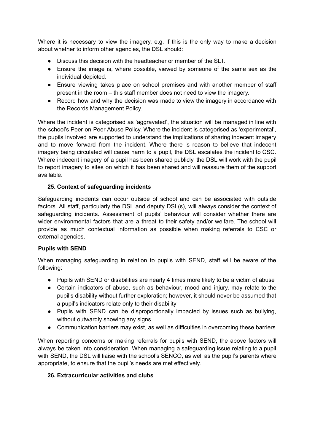Where it is necessary to view the imagery, e.g. if this is the only way to make a decision about whether to inform other agencies, the DSL should:

- Discuss this decision with the headteacher or member of the SLT.
- Ensure the image is, where possible, viewed by someone of the same sex as the individual depicted.
- Ensure viewing takes place on school premises and with another member of staff present in the room – this staff member does not need to view the imagery.
- Record how and why the decision was made to view the imagery in accordance with the Records Management Policy.

Where the incident is categorised as 'aggravated', the situation will be managed in line with the school's Peer-on-Peer Abuse Policy. Where the incident is categorised as 'experimental', the pupils involved are supported to understand the implications of sharing indecent imagery and to move forward from the incident. Where there is reason to believe that indecent imagery being circulated will cause harm to a pupil, the DSL escalates the incident to CSC. Where indecent imagery of a pupil has been shared publicly, the DSL will work with the pupil to report imagery to sites on which it has been shared and will reassure them of the support available.

## **25. Context of safeguarding incidents**

Safeguarding incidents can occur outside of school and can be associated with outside factors. All staff, particularly the DSL and deputy DSL(s), will always consider the context of safeguarding incidents. Assessment of pupils' behaviour will consider whether there are wider environmental factors that are a threat to their safety and/or welfare. The school will provide as much contextual information as possible when making referrals to CSC or external agencies.

## **Pupils with SEND**

When managing safeguarding in relation to pupils with SEND, staff will be aware of the following:

- Pupils with SEND or disabilities are nearly 4 times more likely to be a victim of abuse
- Certain indicators of abuse, such as behaviour, mood and injury, may relate to the pupil's disability without further exploration; however, it should never be assumed that a pupil's indicators relate only to their disability
- Pupils with SEND can be disproportionally impacted by issues such as bullying, without outwardly showing any signs
- Communication barriers may exist, as well as difficulties in overcoming these barriers

When reporting concerns or making referrals for pupils with SEND, the above factors will always be taken into consideration. When managing a safeguarding issue relating to a pupil with SEND, the DSL will liaise with the school's SENCO, as well as the pupil's parents where appropriate, to ensure that the pupil's needs are met effectively.

## **26. Extracurricular activities and clubs**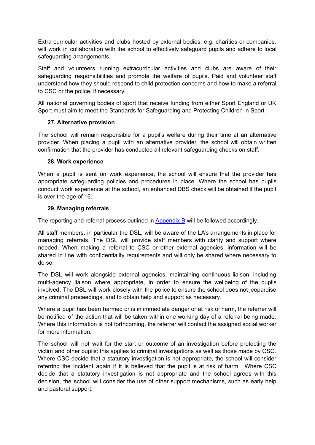Extra-curricular activities and clubs hosted by external bodies, e.g. charities or companies, will work in collaboration with the school to effectively safeguard pupils and adhere to local safeguarding arrangements.

Staff and volunteers running extracurricular activities and clubs are aware of their safeguarding responsibilities and promote the welfare of pupils. Paid and volunteer staff understand how they should respond to child protection concerns and how to make a referral to CSC or the police, if necessary.

All national governing bodies of sport that receive funding from either Sport England or UK Sport must aim to meet the Standards for Safeguarding and Protecting Children in Sport.

#### **27. Alternative provision**

The school will remain responsible for a pupil's welfare during their time at an alternative provider. When placing a pupil with an alternative provider, the school will obtain written confirmation that the provider has conducted all relevant safeguarding checks on staff.

#### **28. Work experience**

When a pupil is sent on work experience, the school will ensure that the provider has appropriate safeguarding policies and procedures in place. Where the school has pupils conduct work experience at the school, an enhanced DBS check will be obtained if the pupil is over the age of 16.

#### **29. Managing referrals**

The reporting and referral process outlined in Appendix B will be followed accordingly.

All staff members, in particular the DSL, will be aware of the LA's arrangements in place for managing referrals. The DSL will provide staff members with clarity and support where needed. When making a referral to CSC or other external agencies, information will be shared in line with confidentiality requirements and will only be shared where necessary to do so.

The DSL will work alongside external agencies, maintaining continuous liaison, including multi-agency liaison where appropriate, in order to ensure the wellbeing of the pupils involved. The DSL will work closely with the police to ensure the school does not jeopardise any criminal proceedings, and to obtain help and support as necessary.

Where a pupil has been harmed or is in immediate danger or at risk of harm, the referrer will be notified of the action that will be taken within one working day of a referral being made. Where this information is not forthcoming, the referrer will contact the assigned social worker for more information.

The school will not wait for the start or outcome of an investigation before protecting the victim and other pupils: this applies to criminal investigations as well as those made by CSC. Where CSC decide that a statutory investigation is not appropriate, the school will consider referring the incident again if it is believed that the pupil is at risk of harm. Where CSC decide that a statutory investigation is not appropriate and the school agrees with this decision, the school will consider the use of other support mechanisms, such as early help and pastoral support.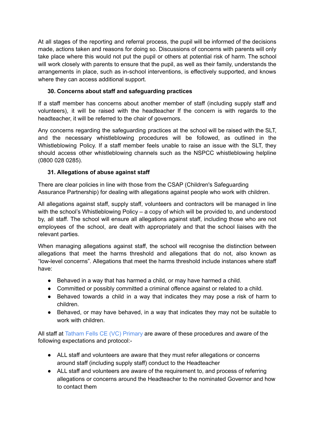At all stages of the reporting and referral process, the pupil will be informed of the decisions made, actions taken and reasons for doing so. Discussions of concerns with parents will only take place where this would not put the pupil or others at potential risk of harm. The school will work closely with parents to ensure that the pupil, as well as their family, understands the arrangements in place, such as in-school interventions, is effectively supported, and knows where they can access additional support.

# **30. Concerns about staff and safeguarding practices**

If a staff member has concerns about another member of staff (including supply staff and volunteers), it will be raised with the headteacher If the concern is with regards to the headteacher, it will be referred to the chair of governors.

Any concerns regarding the safeguarding practices at the school will be raised with the SLT, and the necessary whistleblowing procedures will be followed, as outlined in the Whistleblowing Policy. If a staff member feels unable to raise an issue with the SLT, they should access other whistleblowing channels such as the NSPCC whistleblowing helpline (0800 028 0285).

# **31. Allegations of abuse against staff**

There are clear policies in line with those from the CSAP (Children's Safeguarding Assurance Partnership) for dealing with allegations against people who work with children.

All allegations against staff, supply staff, volunteers and contractors will be managed in line with the school's Whistleblowing Policy – a copy of which will be provided to, and understood by, all staff. The school will ensure all allegations against staff, including those who are not employees of the school, are dealt with appropriately and that the school liaises with the relevant parties.

When managing allegations against staff, the school will recognise the distinction between allegations that meet the harms threshold and allegations that do not, also known as "low-level concerns". Allegations that meet the harms threshold include instances where staff have:

- Behaved in a way that has harmed a child, or may have harmed a child.
- Committed or possibly committed a criminal offence against or related to a child.
- Behaved towards a child in a way that indicates they may pose a risk of harm to children.
- Behaved, or may have behaved, in a way that indicates they may not be suitable to work with children.

All staff at Tatham Fells CE (VC) Primary are aware of these procedures and aware of the following expectations and protocol:-

- ALL staff and volunteers are aware that they must refer allegations or concerns around staff (including supply staff) conduct to the Headteacher
- ALL staff and volunteers are aware of the requirement to, and process of referring allegations or concerns around the Headteacher to the nominated Governor and how to contact them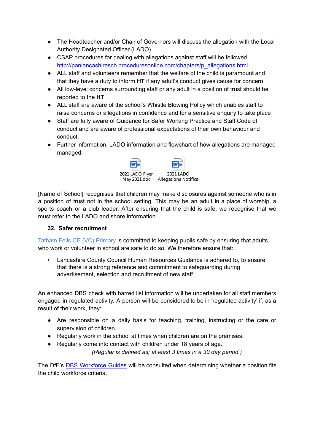- The Headteacher and/or Chair of Governors will discuss the allegation with the Local Authority Designated Officer (LADO)
- CSAP procedures for dealing with allegations against staff will be followed [http://panlancashirescb.proceduresonline.com/chapters/p\\_allegations.html](http://panlancashirescb.proceduresonline.com/chapters/p_allegations.html)
- ALL staff and volunteers remember that the welfare of the child is paramount and that they have a duty to inform **HT** if any adult's conduct gives cause for concern
- All low-level concerns surrounding staff or any adult in a position of trust should be reported to the **HT**.
- ALL staff are aware of the school's Whistle Blowing Policy which enables staff to raise concerns or allegations in confidence and for a sensitive enquiry to take place
- Staff are fully aware of Guidance for Safer Working Practice and Staff Code of conduct and are aware of professional expectations of their own behaviour and conduct.
- Further information, LADO information and flowchart of how allegations are managed managed: -



[Name of School] recognises that children may make disclosures against someone who is in a position of trust not in the school setting. This may be an adult in a place of worship, a sports coach or a club leader. After ensuring that the child is safe, we recognise that we must refer to the LADO and share information.

## **32. Safer recruitment**

Tatham Fells CE (VC) Primary is committed to keeping pupils safe by ensuring that adults who work or volunteer in school are safe to do so. We therefore ensure that:

• Lancashire County Council Human Resources Guidance is adhered to, to ensure that there is a strong reference and commitment to safeguarding during advertisement, selection and recruitment of new staff

An enhanced DBS check with barred list information will be undertaken for all staff members engaged in regulated activity. A person will be considered to be in 'regulated activity' if, as a result of their work, they:

- Are responsible on a daily basis for teaching, training, instructing or the care or supervision of children.
- Regularly work in the school at times when children are on the premises.
- Regularly come into contact with children under 18 years of age.

*(Regular is defined as; at least 3 times in a 30 day period.)*

The DfE's **DBS [Workforce](https://www.gov.uk/government/publications/dbs-workforce-guidance) Guides** will be consulted when determining whether a position fits the child workforce criteria.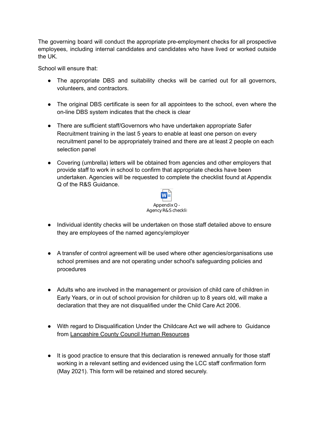The governing board will conduct the appropriate pre-employment checks for all prospective employees, including internal candidates and candidates who have lived or worked outside the UK.

School will ensure that:

- The appropriate DBS and suitability checks will be carried out for all governors, volunteers, and contractors.
- The original DBS certificate is seen for all appointees to the school, even where the on-line DBS system indicates that the check is clear
- There are sufficient staff/Governors who have undertaken appropriate Safer Recruitment training in the last 5 years to enable at least one person on every recruitment panel to be appropriately trained and there are at least 2 people on each selection panel
- Covering (umbrella) letters will be obtained from agencies and other employers that provide staff to work in school to confirm that appropriate checks have been undertaken. Agencies will be requested to complete the checklist found at Appendix Q of the R&S Guidance.



- Individual identity checks will be undertaken on those staff detailed above to ensure they are employees of the named agency/employer
- A transfer of control agreement will be used where other agencies/organisations use school premises and are not operating under school's safeguarding policies and procedures
- Adults who are involved in the management or provision of child care of children in Early Years, or in out of school provision for children up to 8 years old, will make a declaration that they are not disqualified under the Child Care Act 2006.
- With regard to Disqualification Under the Childcare Act we will adhere to Guidance from Lancashire County Council Human Resources
- It is good practice to ensure that this declaration is renewed annually for those staff working in a relevant setting and evidenced using the LCC staff confirmation form (May 2021). This form will be retained and stored securely.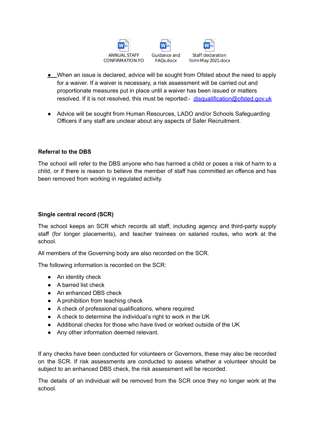



- When an issue is declared, advice will be sought from Ofsted about the need to apply for a waiver. If a waiver is necessary, a risk assessment will be carried out and proportionate measures put in place until a waiver has been issued or matters resolved. If it is not resolved, this must be reported:- [disqualification@ofsted.gov.uk](mailto:disqualification@ofsted.gov.uk)
- Advice will be sought from Human Resources, LADO and/or Schools Safeguarding Officers if any staff are unclear about any aspects of Safer Recruitment.

## **Referral to the DBS**

The school will refer to the DBS anyone who has harmed a child or poses a risk of harm to a child, or if there is reason to believe the member of staff has committed an offence and has been removed from working in regulated activity.

#### **Single central record (SCR)**

The school keeps an SCR which records all staff, including agency and third-party supply staff (for longer placements), and teacher trainees on salaried routes, who work at the school.

All members of the Governing body are also recorded on the SCR.

The following information is recorded on the SCR:

- An identity check
- A barred list check
- An enhanced DBS check
- A prohibition from teaching check
- A check of professional qualifications, where required
- A check to determine the individual's right to work in the UK
- Additional checks for those who have lived or worked outside of the UK
- Any other information deemed relevant.

If any checks have been conducted for volunteers or Governors, these may also be recorded on the SCR. If risk assessments are conducted to assess whether a volunteer should be subject to an enhanced DBS check, the risk assessment will be recorded.

The details of an individual will be removed from the SCR once they no longer work at the school.